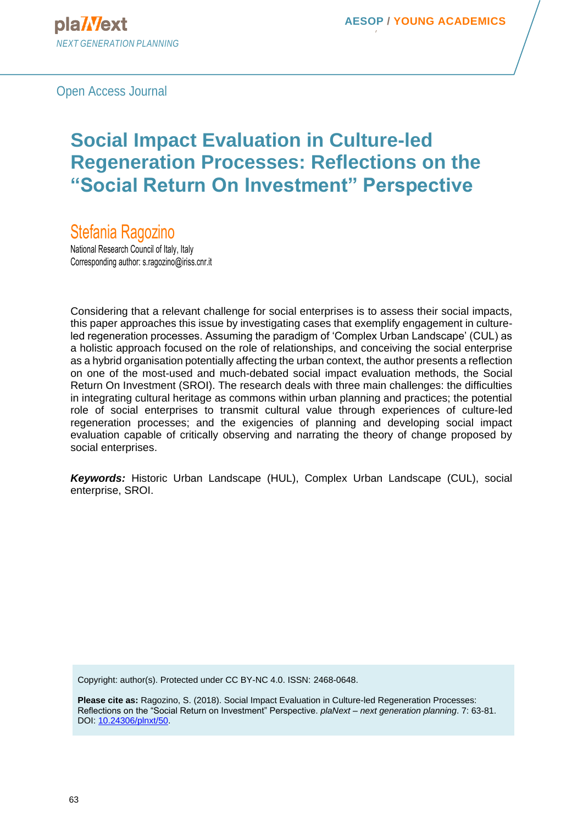Open Access Journal

# **Social Impact Evaluation in Culture-led Regeneration Processes: Reflections on the "Social Return On Investment" Perspective**

Stefania Ragozino

National Research Council of Italy, Italy Corresponding author: s.ragozino@iriss.cnr.it

Considering that a relevant challenge for social enterprises is to assess their social impacts, this paper approaches this issue by investigating cases that exemplify engagement in cultureled regeneration processes. Assuming the paradigm of 'Complex Urban Landscape' (CUL) as a holistic approach focused on the role of relationships, and conceiving the social enterprise as a hybrid organisation potentially affecting the urban context, the author presents a reflection on one of the most-used and much-debated social impact evaluation methods, the Social Return On Investment (SROI). The research deals with three main challenges: the difficulties in integrating cultural heritage as commons within urban planning and practices; the potential role of social enterprises to transmit cultural value through experiences of culture-led regeneration processes; and the exigencies of planning and developing social impact evaluation capable of critically observing and narrating the theory of change proposed by social enterprises.

*Keywords:* Historic Urban Landscape (HUL), Complex Urban Landscape (CUL), social enterprise, SROI.

Copyright: author(s). Protected under CC BY-NC 4.0. ISSN: 2468-0648.

**Please cite as:** Ragozino, S. (2018). Social Impact Evaluation in Culture-led Regeneration Processes: Reflections on the "Social Return on Investment" Perspective. *plaNext – next generation planning*. 7: 63-81. DOI: [10.24306/plnxt/50.](http://dx.doi.org/10.24306/plnxt/50)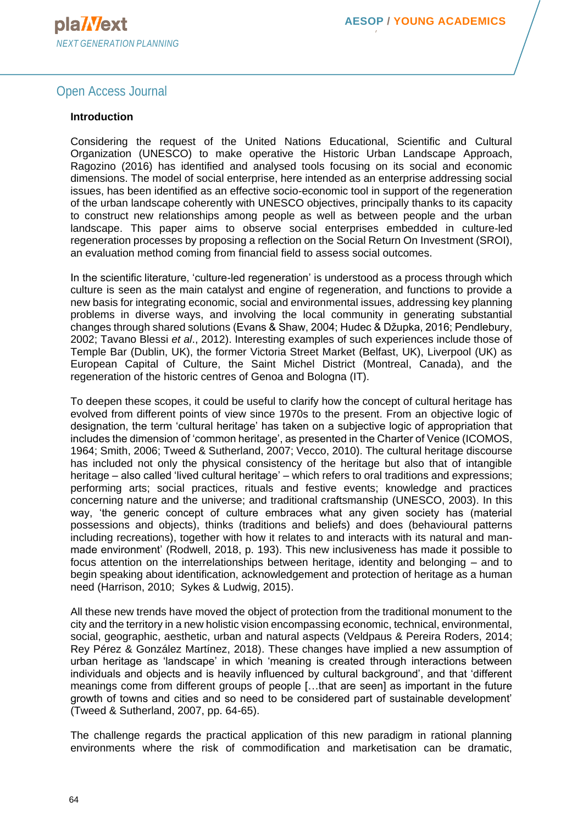#### Open Access Journal

#### **Introduction**

Considering the request of the United Nations Educational, Scientific and Cultural Organization (UNESCO) to make operative the Historic Urban Landscape Approach, Ragozino (2016) has identified and analysed tools focusing on its social and economic dimensions. The model of social enterprise, here intended as an enterprise addressing social issues, has been identified as an effective socio-economic tool in support of the regeneration of the urban landscape coherently with UNESCO objectives, principally thanks to its capacity to construct new relationships among people as well as between people and the urban landscape. This paper aims to observe social enterprises embedded in culture-led regeneration processes by proposing a reflection on the Social Return On Investment (SROI), an evaluation method coming from financial field to assess social outcomes.

In the scientific literature, 'culture-led regeneration' is understood as a process through which culture is seen as the main catalyst and engine of regeneration, and functions to provide a new basis for integrating economic, social and environmental issues, addressing key planning problems in diverse ways, and involving the local community in generating substantial changes through shared solutions (Evans & Shaw, 2004; Hudec & Džupka, 2016; Pendlebury, 2002; Tavano Blessi *et al*., 2012). Interesting examples of such experiences include those of Temple Bar (Dublin, UK), the former Victoria Street Market (Belfast, UK), Liverpool (UK) as European Capital of Culture, the Saint Michel District (Montreal, Canada), and the regeneration of the historic centres of Genoa and Bologna (IT).

To deepen these scopes, it could be useful to clarify how the concept of cultural heritage has evolved from different points of view since 1970s to the present. From an objective logic of designation, the term 'cultural heritage' has taken on a subjective logic of appropriation that includes the dimension of 'common heritage', as presented in the Charter of Venice (ICOMOS, 1964; Smith, 2006; Tweed & Sutherland, 2007; Vecco, 2010). The cultural heritage discourse has included not only the physical consistency of the heritage but also that of intangible heritage – also called 'lived cultural heritage' – which refers to oral traditions and expressions; performing arts; social practices, rituals and festive events; knowledge and practices concerning nature and the universe; and traditional craftsmanship (UNESCO, 2003). In this way, 'the generic concept of culture embraces what any given society has (material possessions and objects), thinks (traditions and beliefs) and does (behavioural patterns including recreations), together with how it relates to and interacts with its natural and manmade environment' (Rodwell, 2018, p. 193). This new inclusiveness has made it possible to focus attention on the interrelationships between heritage, identity and belonging – and to begin speaking about identification, acknowledgement and protection of heritage as a human need (Harrison, 2010; Sykes & Ludwig, 2015).

All these new trends have moved the object of protection from the traditional monument to the city and the territory in a new holistic vision encompassing economic, technical, environmental, social, geographic, aesthetic, urban and natural aspects (Veldpaus & Pereira Roders, 2014; Rey Pérez & González Martínez, 2018). These changes have implied a new assumption of urban heritage as 'landscape' in which 'meaning is created through interactions between individuals and objects and is heavily influenced by cultural background', and that 'different meanings come from different groups of people […that are seen] as important in the future growth of towns and cities and so need to be considered part of sustainable development' (Tweed & Sutherland, 2007, pp. 64-65).

The challenge regards the practical application of this new paradigm in rational planning environments where the risk of commodification and marketisation can be dramatic,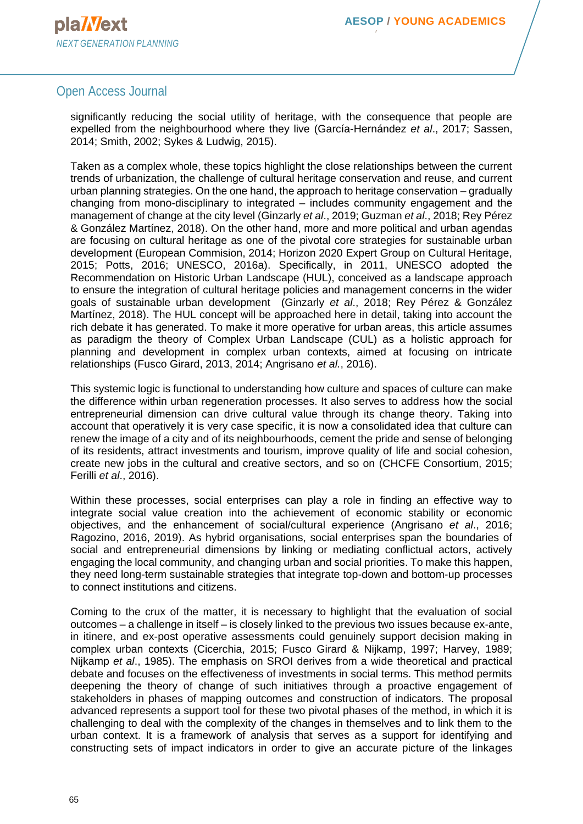#### Open Access Journal

significantly reducing the social utility of heritage, with the consequence that people are expelled from the neighbourhood where they live (García-Hernández *et al*., 2017; Sassen, 2014; Smith, 2002; Sykes & Ludwig, 2015).

Taken as a complex whole, these topics highlight the close relationships between the current trends of urbanization, the challenge of cultural heritage conservation and reuse, and current urban planning strategies. On the one hand, the approach to heritage conservation – gradually changing from mono-disciplinary to integrated – includes community engagement and the management of change at the city level (Ginzarly *et al*., 2019; Guzman *et al*., 2018; Rey Pérez & González Martínez, 2018). On the other hand, more and more political and urban agendas are focusing on cultural heritage as one of the pivotal core strategies for sustainable urban development (European Commision, 2014; Horizon 2020 Expert Group on Cultural Heritage, 2015; Potts, 2016; UNESCO, 2016a). Specifically, in 2011, UNESCO adopted the Recommendation on Historic Urban Landscape (HUL), conceived as a landscape approach to ensure the integration of cultural heritage policies and management concerns in the wider goals of sustainable urban development (Ginzarly *et al*., 2018; Rey Pérez & González Martínez, 2018). The HUL concept will be approached here in detail, taking into account the rich debate it has generated. To make it more operative for urban areas, this article assumes as paradigm the theory of Complex Urban Landscape (CUL) as a holistic approach for planning and development in complex urban contexts, aimed at focusing on intricate relationships (Fusco Girard, 2013, 2014; Angrisano *et al.*, 2016).

This systemic logic is functional to understanding how culture and spaces of culture can make the difference within urban regeneration processes. It also serves to address how the social entrepreneurial dimension can drive cultural value through its change theory. Taking into account that operatively it is very case specific, it is now a consolidated idea that culture can renew the image of a city and of its neighbourhoods, cement the pride and sense of belonging of its residents, attract investments and tourism, improve quality of life and social cohesion, create new jobs in the cultural and creative sectors, and so on (CHCFE Consortium, 2015; Ferilli *et al*., 2016).

Within these processes, social enterprises can play a role in finding an effective way to integrate social value creation into the achievement of economic stability or economic objectives, and the enhancement of social/cultural experience (Angrisano *et al*., 2016; Ragozino, 2016, 2019). As hybrid organisations, social enterprises span the boundaries of social and entrepreneurial dimensions by linking or mediating conflictual actors, actively engaging the local community, and changing urban and social priorities. To make this happen, they need long-term sustainable strategies that integrate top-down and bottom-up processes to connect institutions and citizens.

Coming to the crux of the matter, it is necessary to highlight that the evaluation of social outcomes – a challenge in itself – is closely linked to the previous two issues because ex-ante, in itinere, and ex-post operative assessments could genuinely support decision making in complex urban contexts (Cicerchia, 2015; Fusco Girard & Nijkamp, 1997; Harvey, 1989; Nijkamp *et al*., 1985). The emphasis on SROI derives from a wide theoretical and practical debate and focuses on the effectiveness of investments in social terms. This method permits deepening the theory of change of such initiatives through a proactive engagement of stakeholders in phases of mapping outcomes and construction of indicators. The proposal advanced represents a support tool for these two pivotal phases of the method, in which it is challenging to deal with the complexity of the changes in themselves and to link them to the urban context. It is a framework of analysis that serves as a support for identifying and constructing sets of impact indicators in order to give an accurate picture of the linkages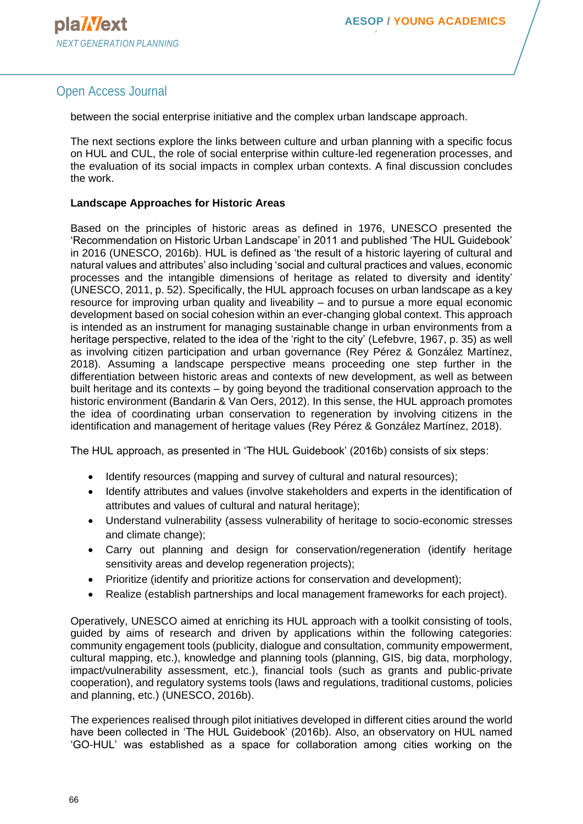# Open Access Journal

between the social enterprise initiative and the complex urban landscape approach.

The next sections explore the links between culture and urban planning with a specific focus on HUL and CUL, the role of social enterprise within culture-led regeneration processes, and the evaluation of its social impacts in complex urban contexts. A final discussion concludes the work.

#### **Landscape Approaches for Historic Areas**

Based on the principles of historic areas as defined in 1976, UNESCO presented the 'Recommendation on Historic Urban Landscape' in 2011 and published 'The HUL Guidebook' in 2016 (UNESCO, 2016b). HUL is defined as 'the result of a historic layering of cultural and natural values and attributes' also including 'social and cultural practices and values, economic processes and the intangible dimensions of heritage as related to diversity and identity' (UNESCO, 2011, p. 52). Specifically, the HUL approach focuses on urban landscape as a key resource for improving urban quality and liveability – and to pursue a more equal economic development based on social cohesion within an ever-changing global context. This approach is intended as an instrument for managing sustainable change in urban environments from a heritage perspective, related to the idea of the 'right to the city' (Lefebvre, 1967, p. 35) as well as involving citizen participation and urban governance (Rey Pérez & González Martínez, 2018). Assuming a landscape perspective means proceeding one step further in the differentiation between historic areas and contexts of new development, as well as between built heritage and its contexts – by going beyond the traditional conservation approach to the historic environment (Bandarin & Van Oers, 2012). In this sense, the HUL approach promotes the idea of coordinating urban conservation to regeneration by involving citizens in the identification and management of heritage values (Rey Pérez & González Martínez, 2018).

The HUL approach, as presented in 'The HUL Guidebook' (2016b) consists of six steps:

- Identify resources (mapping and survey of cultural and natural resources);
- Identify attributes and values (involve stakeholders and experts in the identification of attributes and values of cultural and natural heritage);
- Understand vulnerability (assess vulnerability of heritage to socio-economic stresses and climate change);
- Carry out planning and design for conservation/regeneration (identify heritage sensitivity areas and develop regeneration projects);
- Prioritize (identify and prioritize actions for conservation and development);
- Realize (establish partnerships and local management frameworks for each project).

Operatively, UNESCO aimed at enriching its HUL approach with a toolkit consisting of tools, guided by aims of research and driven by applications within the following categories: community engagement tools (publicity, dialogue and consultation, community empowerment, cultural mapping, etc.), knowledge and planning tools (planning, GIS, big data, morphology, impact/vulnerability assessment, etc.), financial tools (such as grants and public-private cooperation), and regulatory systems tools (laws and regulations, traditional customs, policies and planning, etc.) (UNESCO, 2016b).

The experiences realised through pilot initiatives developed in different cities around the world have been collected in 'The HUL Guidebook' (2016b). Also, an observatory on HUL named 'GO-HUL' was established as a space for collaboration among cities working on the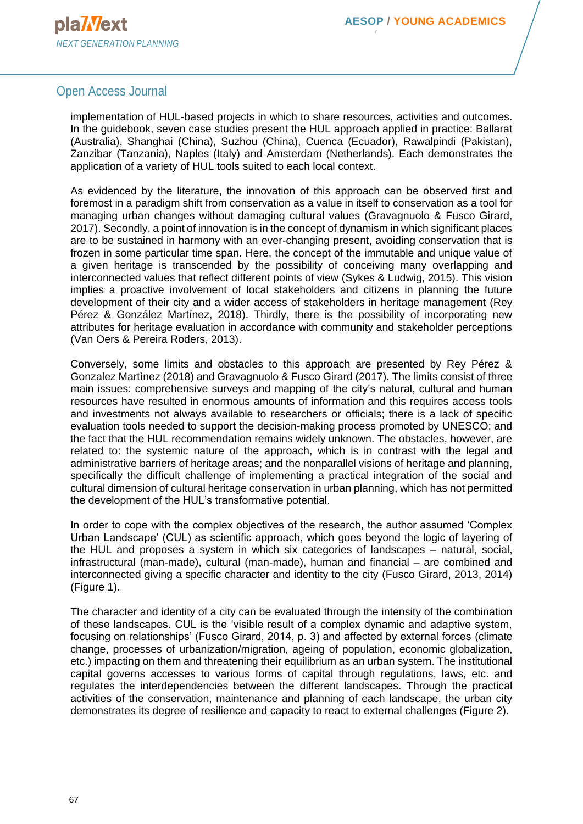#### Open Access Journal

implementation of HUL-based projects in which to share resources, activities and outcomes. In the guidebook, seven case studies present the HUL approach applied in practice: Ballarat (Australia), Shanghai (China), Suzhou (China), Cuenca (Ecuador), Rawalpindi (Pakistan), Zanzibar (Tanzania), Naples (Italy) and Amsterdam (Netherlands). Each demonstrates the application of a variety of HUL tools suited to each local context.

As evidenced by the literature, the innovation of this approach can be observed first and foremost in a paradigm shift from conservation as a value in itself to conservation as a tool for managing urban changes without damaging cultural values (Gravagnuolo & Fusco Girard, 2017). Secondly, a point of innovation is in the concept of dynamism in which significant places are to be sustained in harmony with an ever-changing present, avoiding conservation that is frozen in some particular time span. Here, the concept of the immutable and unique value of a given heritage is transcended by the possibility of conceiving many overlapping and interconnected values that reflect different points of view (Sykes & Ludwig, 2015). This vision implies a proactive involvement of local stakeholders and citizens in planning the future development of their city and a wider access of stakeholders in heritage management (Rey Pérez & González Martínez, 2018). Thirdly, there is the possibility of incorporating new attributes for heritage evaluation in accordance with community and stakeholder perceptions (Van Oers & Pereira Roders, 2013).

Conversely, some limits and obstacles to this approach are presented by Rey Pérez & Gonzalez Martìnez (2018) and Gravagnuolo & Fusco Girard (2017). The limits consist of three main issues: comprehensive surveys and mapping of the city's natural, cultural and human resources have resulted in enormous amounts of information and this requires access tools and investments not always available to researchers or officials; there is a lack of specific evaluation tools needed to support the decision-making process promoted by UNESCO; and the fact that the HUL recommendation remains widely unknown. The obstacles, however, are related to: the systemic nature of the approach, which is in contrast with the legal and administrative barriers of heritage areas; and the nonparallel visions of heritage and planning, specifically the difficult challenge of implementing a practical integration of the social and cultural dimension of cultural heritage conservation in urban planning, which has not permitted the development of the HUL's transformative potential.

In order to cope with the complex objectives of the research, the author assumed 'Complex Urban Landscape' (CUL) as scientific approach, which goes beyond the logic of layering of the HUL and proposes a system in which six categories of landscapes – natural, social, infrastructural (man-made), cultural (man-made), human and financial – are combined and interconnected giving a specific character and identity to the city (Fusco Girard, 2013, 2014) (Figure 1).

The character and identity of a city can be evaluated through the intensity of the combination of these landscapes. CUL is the 'visible result of a complex dynamic and adaptive system, focusing on relationships' (Fusco Girard, 2014, p. 3) and affected by external forces (climate change, processes of urbanization/migration, ageing of population, economic globalization, etc.) impacting on them and threatening their equilibrium as an urban system. The institutional capital governs accesses to various forms of capital through regulations, laws, etc. and regulates the interdependencies between the different landscapes. Through the practical activities of the conservation, maintenance and planning of each landscape, the urban city demonstrates its degree of resilience and capacity to react to external challenges (Figure 2).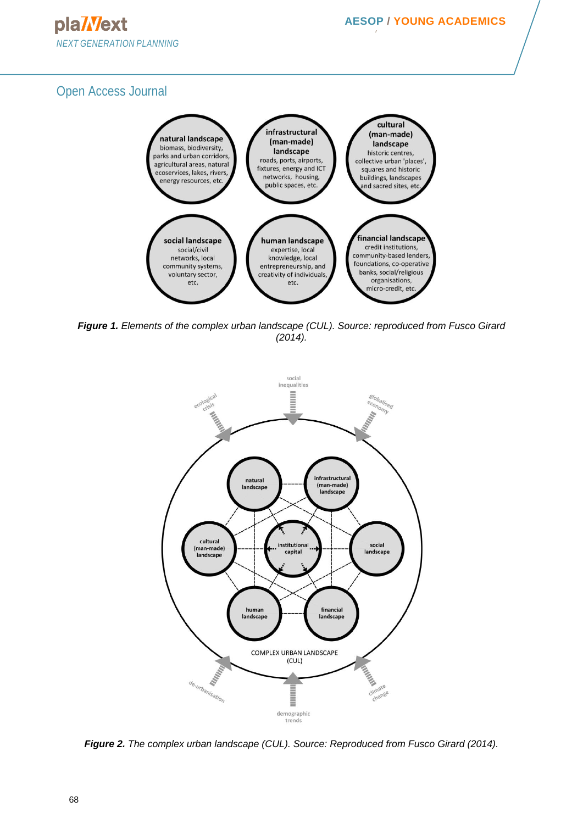

*Figure 1. Elements of the complex urban landscape (CUL). Source: reproduced from Fusco Girard (2014).*



*Figure 2. The complex urban landscape (CUL). Source: Reproduced from Fusco Girard (2014).*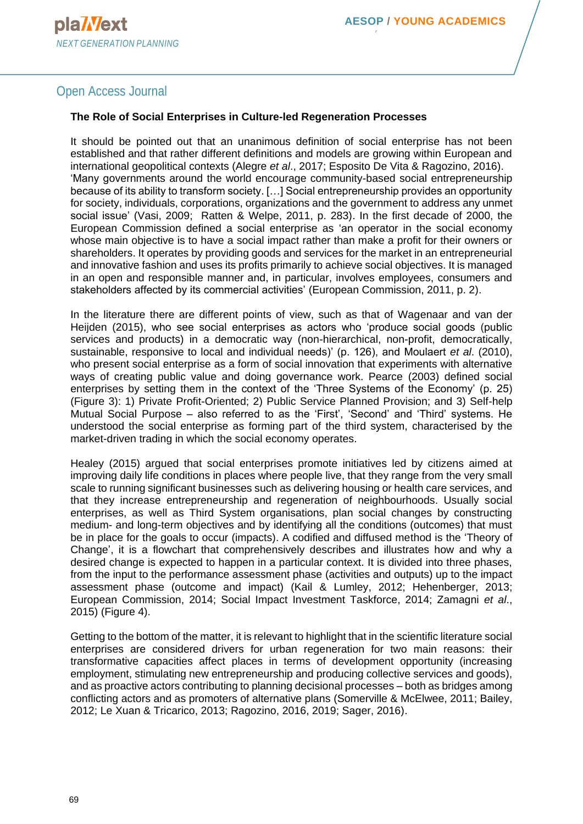#### Open Access Journal

#### **The Role of Social Enterprises in Culture-led Regeneration Processes**

It should be pointed out that an unanimous definition of social enterprise has not been established and that rather different definitions and models are growing within European and international geopolitical contexts (Alegre *et al*., 2017; Esposito De Vita & Ragozino, 2016). 'Many governments around the world encourage community-based social entrepreneurship because of its ability to transform society. […] Social entrepreneurship provides an opportunity for society, individuals, corporations, organizations and the government to address any unmet social issue' (Vasi, 2009; Ratten & Welpe, 2011, p. 283). In the first decade of 2000, the European Commission defined a social enterprise as 'an operator in the social economy whose main objective is to have a social impact rather than make a profit for their owners or shareholders. It operates by providing goods and services for the market in an entrepreneurial and innovative fashion and uses its profits primarily to achieve social objectives. It is managed in an open and responsible manner and, in particular, involves employees, consumers and stakeholders affected by its commercial activities' (European Commission, 2011, p. 2).

In the literature there are different points of view, such as that of Wagenaar and van der Heijden (2015), who see social enterprises as actors who 'produce social goods (public services and products) in a democratic way (non-hierarchical, non-profit, democratically, sustainable, responsive to local and individual needs)' (p. 126), and Moulaert *et al*. (2010), who present social enterprise as a form of social innovation that experiments with alternative ways of creating public value and doing governance work. Pearce (2003) defined social enterprises by setting them in the context of the 'Three Systems of the Economy' (p. 25) (Figure 3): 1) Private Profit-Oriented; 2) Public Service Planned Provision; and 3) Self-help Mutual Social Purpose – also referred to as the 'First', 'Second' and 'Third' systems. He understood the social enterprise as forming part of the third system, characterised by the market-driven trading in which the social economy operates.

Healey (2015) argued that social enterprises promote initiatives led by citizens aimed at improving daily life conditions in places where people live, that they range from the very small scale to running significant businesses such as delivering housing or health care services, and that they increase entrepreneurship and regeneration of neighbourhoods. Usually social enterprises, as well as Third System organisations, plan social changes by constructing medium- and long-term objectives and by identifying all the conditions (outcomes) that must be in place for the goals to occur (impacts). A codified and diffused method is the 'Theory of Change', it is a flowchart that comprehensively describes and illustrates how and why a desired change is expected to happen in a particular context. It is divided into three phases, from the input to the performance assessment phase (activities and outputs) up to the impact assessment phase (outcome and impact) (Kail & Lumley, 2012; Hehenberger, 2013; European Commission, 2014; Social Impact Investment Taskforce, 2014; Zamagni *et al*., 2015) (Figure 4).

Getting to the bottom of the matter, it is relevant to highlight that in the scientific literature social enterprises are considered drivers for urban regeneration for two main reasons: their transformative capacities affect places in terms of development opportunity (increasing employment, stimulating new entrepreneurship and producing collective services and goods), and as proactive actors contributing to planning decisional processes – both as bridges among conflicting actors and as promoters of alternative plans (Somerville & McElwee, 2011; Bailey, 2012; Le Xuan & Tricarico, 2013; Ragozino, 2016, 2019; Sager, 2016).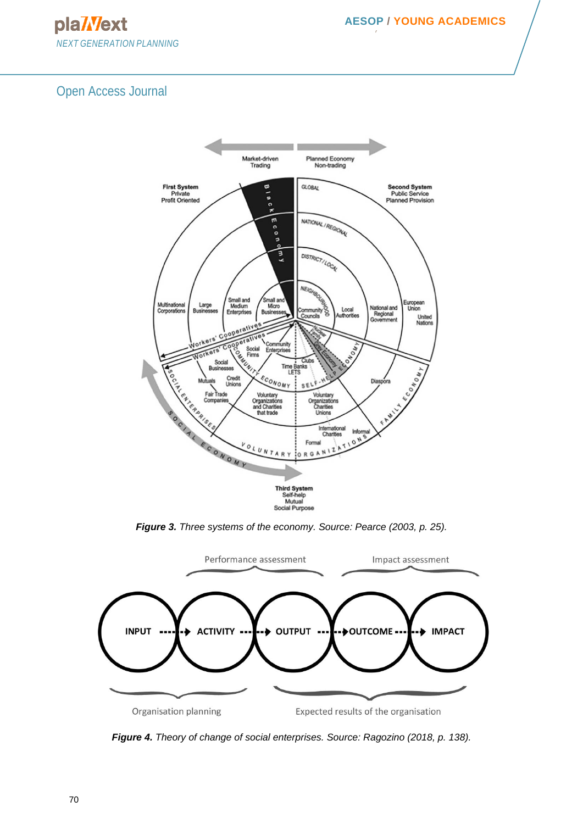pla/Vext *NEXT GENERATION PLANNING*

**NETWORK**



*Figure 3. Three systems of the economy. Source: Pearce (2003, p. 25).*



*Figure 4. Theory of change of social enterprises. Source: Ragozino (2018, p. 138).*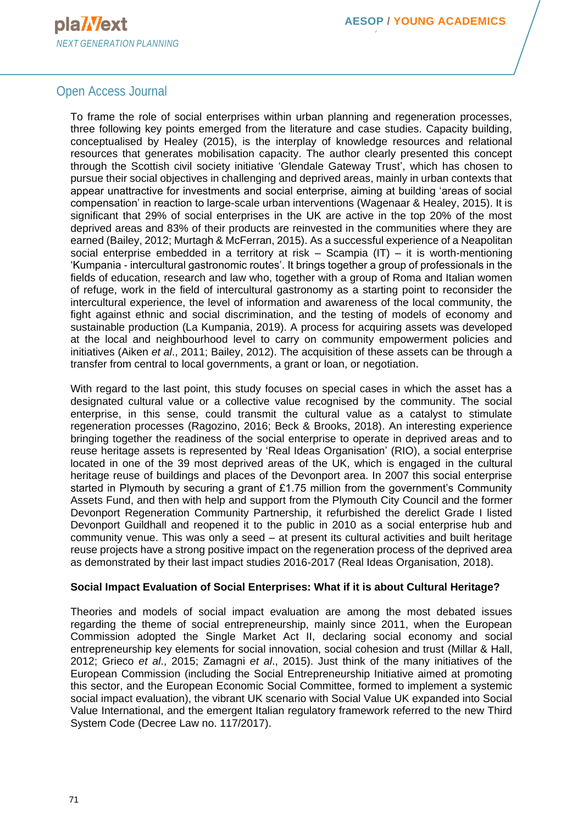# Open Access Journal

To frame the role of social enterprises within urban planning and regeneration processes, three following key points emerged from the literature and case studies. Capacity building, conceptualised by Healey (2015), is the interplay of knowledge resources and relational resources that generates mobilisation capacity. The author clearly presented this concept through the Scottish civil society initiative 'Glendale Gateway Trust', which has chosen to pursue their social objectives in challenging and deprived areas, mainly in urban contexts that appear unattractive for investments and social enterprise, aiming at building 'areas of social compensation' in reaction to large-scale urban interventions (Wagenaar & Healey, 2015). It is significant that 29% of social enterprises in the UK are active in the top 20% of the most deprived areas and 83% of their products are reinvested in the communities where they are earned (Bailey, 2012; Murtagh & McFerran, 2015). As a successful experience of a Neapolitan social enterprise embedded in a territory at risk – Scampia (IT) – it is worth-mentioning 'Kumpania - intercultural gastronomic routes'. It brings together a group of professionals in the fields of education, research and law who, together with a group of Roma and Italian women of refuge, work in the field of intercultural gastronomy as a starting point to reconsider the intercultural experience, the level of information and awareness of the local community, the fight against ethnic and social discrimination, and the testing of models of economy and sustainable production (La Kumpania, 2019). A process for acquiring assets was developed at the local and neighbourhood level to carry on community empowerment policies and initiatives (Aiken *et al*., 2011; Bailey, 2012). The acquisition of these assets can be through a transfer from central to local governments, a grant or loan, or negotiation.

With regard to the last point, this study focuses on special cases in which the asset has a designated cultural value or a collective value recognised by the community. The social enterprise, in this sense, could transmit the cultural value as a catalyst to stimulate regeneration processes (Ragozino, 2016; Beck & Brooks, 2018). An interesting experience bringing together the readiness of the social enterprise to operate in deprived areas and to reuse heritage assets is represented by 'Real Ideas Organisation' (RIO), a social enterprise located in one of the 39 most deprived areas of the UK, which is engaged in the cultural heritage reuse of buildings and places of the Devonport area. In 2007 this social enterprise started in Plymouth by securing a grant of £1.75 million from the government's Community Assets Fund, and then with help and support from the Plymouth City Council and the former Devonport Regeneration Community Partnership, it refurbished the derelict Grade I listed Devonport Guildhall and reopened it to the public in 2010 as a social enterprise hub and community venue. This was only a seed – at present its cultural activities and built heritage reuse projects have a strong positive impact on the regeneration process of the deprived area as demonstrated by their last impact studies 2016-2017 (Real Ideas Organisation, 2018).

#### **Social Impact Evaluation of Social Enterprises: What if it is about Cultural Heritage?**

Theories and models of social impact evaluation are among the most debated issues regarding the theme of social entrepreneurship, mainly since 2011, when the European Commission adopted the Single Market Act II, declaring social economy and social entrepreneurship key elements for social innovation, social cohesion and trust (Millar & Hall, 2012; Grieco *et al*., 2015; Zamagni *et al*., 2015). Just think of the many initiatives of the European Commission (including the Social Entrepreneurship Initiative aimed at promoting this sector, and the European Economic Social Committee, formed to implement a systemic social impact evaluation), the vibrant UK scenario with Social Value UK expanded into Social Value International, and the emergent Italian regulatory framework referred to the new Third System Code (Decree Law no. 117/2017).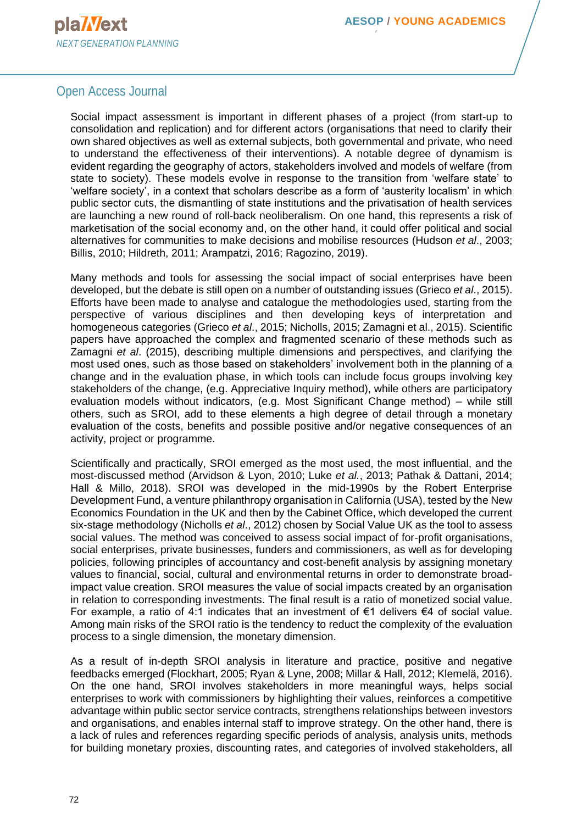#### Open Access Journal

Social impact assessment is important in different phases of a project (from start-up to consolidation and replication) and for different actors (organisations that need to clarify their own shared objectives as well as external subjects, both governmental and private, who need to understand the effectiveness of their interventions). A notable degree of dynamism is evident regarding the geography of actors, stakeholders involved and models of welfare (from state to society). These models evolve in response to the transition from 'welfare state' to 'welfare society', in a context that scholars describe as a form of 'austerity localism' in which public sector cuts, the dismantling of state institutions and the privatisation of health services are launching a new round of roll-back neoliberalism. On one hand, this represents a risk of marketisation of the social economy and, on the other hand, it could offer political and social alternatives for communities to make decisions and mobilise resources (Hudson *et al*., 2003; Billis, 2010; Hildreth, 2011; Arampatzi, 2016; Ragozino, 2019).

Many methods and tools for assessing the social impact of social enterprises have been developed, but the debate is still open on a number of outstanding issues (Grieco *et al*., 2015). Efforts have been made to analyse and catalogue the methodologies used, starting from the perspective of various disciplines and then developing keys of interpretation and homogeneous categories (Grieco *et al*., 2015; Nicholls, 2015; Zamagni et al., 2015). Scientific papers have approached the complex and fragmented scenario of these methods such as Zamagni *et al*. (2015), describing multiple dimensions and perspectives, and clarifying the most used ones, such as those based on stakeholders' involvement both in the planning of a change and in the evaluation phase, in which tools can include focus groups involving key stakeholders of the change, (e.g. Appreciative Inquiry method), while others are participatory evaluation models without indicators, (e.g. Most Significant Change method) – while still others, such as SROI, add to these elements a high degree of detail through a monetary evaluation of the costs, benefits and possible positive and/or negative consequences of an activity, project or programme.

Scientifically and practically, SROI emerged as the most used, the most influential, and the most-discussed method (Arvidson & Lyon, 2010; Luke *et al.*, 2013; Pathak & Dattani, 2014; Hall & Millo, 2018). SROI was developed in the mid-1990s by the Robert Enterprise Development Fund, a venture philanthropy organisation in California (USA), tested by the New Economics Foundation in the UK and then by the Cabinet Office, which developed the current six-stage methodology (Nicholls *et al*., 2012) chosen by Social Value UK as the tool to assess social values. The method was conceived to assess social impact of for-profit organisations, social enterprises, private businesses, funders and commissioners, as well as for developing policies, following principles of accountancy and cost-benefit analysis by assigning monetary values to financial, social, cultural and environmental returns in order to demonstrate broadimpact value creation. SROI measures the value of social impacts created by an organisation in relation to corresponding investments. The final result is a ratio of monetized social value. For example, a ratio of 4:1 indicates that an investment of  $\epsilon$ 1 delivers  $\epsilon$ 4 of social value. Among main risks of the SROI ratio is the tendency to reduct the complexity of the evaluation process to a single dimension, the monetary dimension.

As a result of in-depth SROI analysis in literature and practice, positive and negative feedbacks emerged (Flockhart, 2005; Ryan & Lyne, 2008; Millar & Hall, 2012; Klemelä, 2016). On the one hand, SROI involves stakeholders in more meaningful ways, helps social enterprises to work with commissioners by highlighting their values, reinforces a competitive advantage within public sector service contracts, strengthens relationships between investors and organisations, and enables internal staff to improve strategy. On the other hand, there is a lack of rules and references regarding specific periods of analysis, analysis units, methods for building monetary proxies, discounting rates, and categories of involved stakeholders, all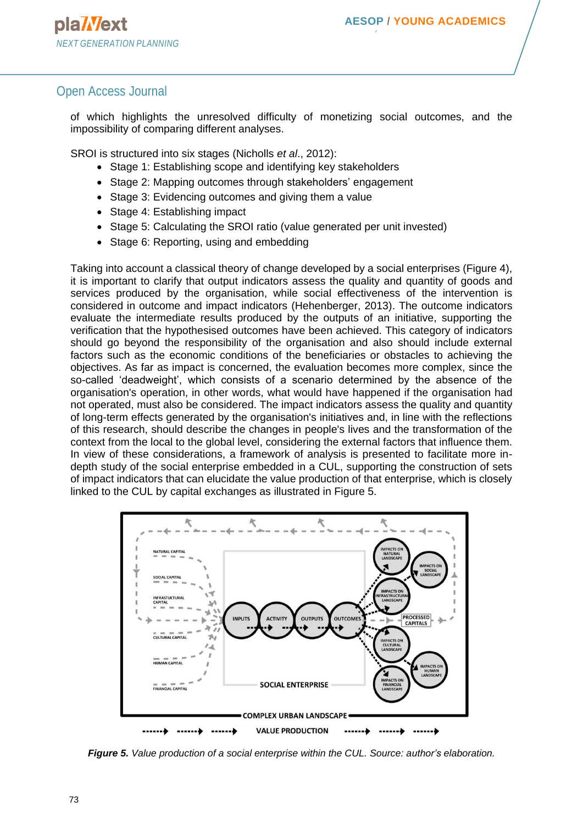#### Open Access Journal

of which highlights the unresolved difficulty of monetizing social outcomes, and the impossibility of comparing different analyses.

SROI is structured into six stages (Nicholls *et al*., 2012):

- Stage 1: Establishing scope and identifying key stakeholders
- Stage 2: Mapping outcomes through stakeholders' engagement
- Stage 3: Evidencing outcomes and giving them a value
- Stage 4: Establishing impact
- Stage 5: Calculating the SROI ratio (value generated per unit invested)
- Stage 6: Reporting, using and embedding

Taking into account a classical theory of change developed by a social enterprises (Figure 4), it is important to clarify that output indicators assess the quality and quantity of goods and services produced by the organisation, while social effectiveness of the intervention is considered in outcome and impact indicators (Hehenberger, 2013). The outcome indicators evaluate the intermediate results produced by the outputs of an initiative, supporting the verification that the hypothesised outcomes have been achieved. This category of indicators should go beyond the responsibility of the organisation and also should include external factors such as the economic conditions of the beneficiaries or obstacles to achieving the objectives. As far as impact is concerned, the evaluation becomes more complex, since the so-called 'deadweight', which consists of a scenario determined by the absence of the organisation's operation, in other words, what would have happened if the organisation had not operated, must also be considered. The impact indicators assess the quality and quantity of long-term effects generated by the organisation's initiatives and, in line with the reflections of this research, should describe the changes in people's lives and the transformation of the context from the local to the global level, considering the external factors that influence them. In view of these considerations, a framework of analysis is presented to facilitate more indepth study of the social enterprise embedded in a CUL, supporting the construction of sets of impact indicators that can elucidate the value production of that enterprise, which is closely linked to the CUL by capital exchanges as illustrated in Figure 5.



*Figure 5. Value production of a social enterprise within the CUL. Source: author's elaboration.*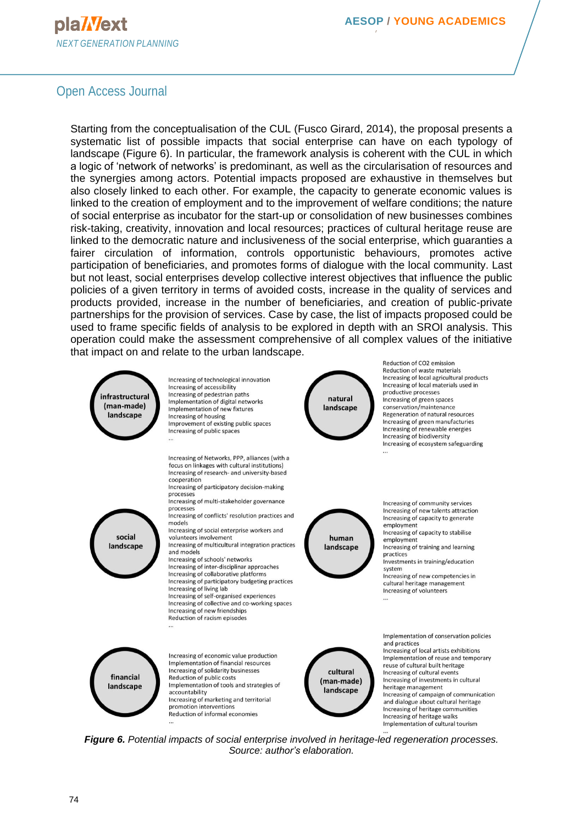# pla**Wext** *NEXT GENERATION PLANNING*

**NETWORK**

# Open Access Journal

Starting from the conceptualisation of the CUL (Fusco Girard, 2014), the proposal presents a systematic list of possible impacts that social enterprise can have on each typology of landscape (Figure 6). In particular, the framework analysis is coherent with the CUL in which a logic of 'network of networks' is predominant, as well as the circularisation of resources and the synergies among actors. Potential impacts proposed are exhaustive in themselves but also closely linked to each other. For example, the capacity to generate economic values is linked to the creation of employment and to the improvement of welfare conditions; the nature of social enterprise as incubator for the start-up or consolidation of new businesses combines risk-taking, creativity, innovation and local resources; practices of cultural heritage reuse are linked to the democratic nature and inclusiveness of the social enterprise, which guaranties a fairer circulation of information, controls opportunistic behaviours, promotes active participation of beneficiaries, and promotes forms of dialogue with the local community. Last but not least, social enterprises develop collective interest objectives that influence the public policies of a given territory in terms of avoided costs, increase in the quality of services and products provided, increase in the number of beneficiaries, and creation of public-private partnerships for the provision of services. Case by case, the list of impacts proposed could be used to frame specific fields of analysis to be explored in depth with an SROI analysis. This operation could make the assessment comprehensive of all complex values of the initiative that impact on and relate to the urban landscape.



Increasing of technological innovation Increasing of accessibility Increasing of pedestrian paths Implementation of digital networks Implementation of new fixtures Increasing of housing Improvement of existing public spaces Increasing of public spaces



Reduction of CO<sub>2</sub> emission Reduction of waste materials Increasing of local agricultural products Increasing of local materials used in productive processes Increasing of green spaces conservation/maintenance Regeneration of natural resources Increasing of green manufacturies Increasing of renewable energies Increasing of biodiversity Increasing of ecosystem safeguarding



Increasing of Networks, PPP, alliances (with a focus on linkages with cultural institutions) Increasing of research- and university-based cooperation Increasing of participatory decision-making

processes Increasing of multi-stakeholder governance

processes Increasing of conflicts' resolution practices and

models Increasing of social enterprise workers and volunteers involvement

Increasing of multicultural integration practices

and models Increasing of schools' networks Increasing of inter-disciplinar approaches Increasing of collaborative platforms

Increasing of participatory budgeting practices Increasing of living lab Increasing of self-organised experiences

Increasing of collective and co-working spaces Increasing of new friendships Reduction of racism episodes



Increasing of community services Increasing of new talents attraction Increasing of capacity to generate employment Increasing of capacity to stabilise

employment Increasing of training and learning practices

Investments in training/education system

Increasing of new competencies in cultural heritage management Increasing of volunteers



Increasing of economic value production Implementation of financial resources Increasing of solidarity businesses Reduction of public costs Implementation of tools and strategies of accountability Increasing of marketing and territorial promotion interventions Reduction of informal economies



Implementation of conservation policies and practices

Increasing of local artists exhibitions Implementation of reuse and temporary reuse of cultural built heritage Increasing of cultural events Increasing of investments in cultural heritage management Increasing of campaign of communication and dialogue about cultural heritage Increasing of heritage communities Increasing of heritage walks Implementation of cultural tourism

*Figure 6. Potential impacts of social enterprise involved in heritage-led regeneration processes. Source: author's elaboration.*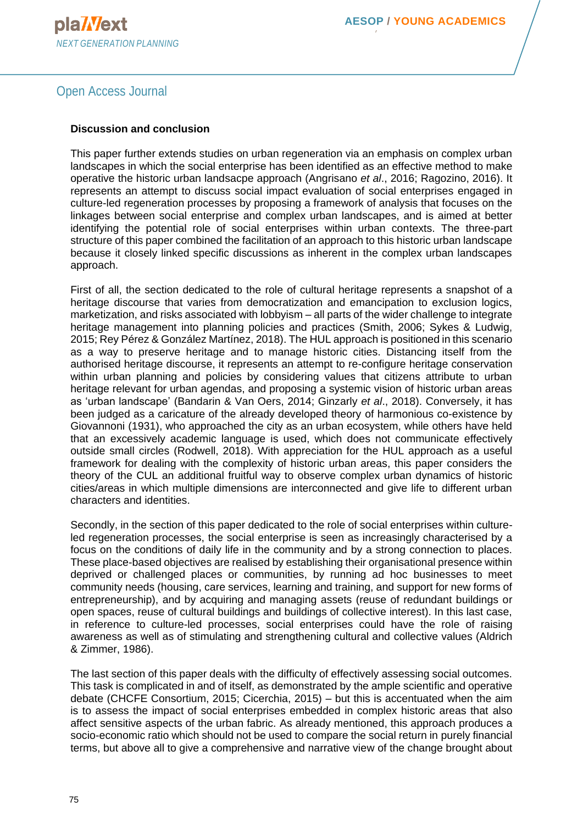# Open Access Journal

#### **Discussion and conclusion**

This paper further extends studies on urban regeneration via an emphasis on complex urban landscapes in which the social enterprise has been identified as an effective method to make operative the historic urban landsacpe approach (Angrisano *et al*., 2016; Ragozino, 2016). It represents an attempt to discuss social impact evaluation of social enterprises engaged in culture-led regeneration processes by proposing a framework of analysis that focuses on the linkages between social enterprise and complex urban landscapes, and is aimed at better identifying the potential role of social enterprises within urban contexts. The three-part structure of this paper combined the facilitation of an approach to this historic urban landscape because it closely linked specific discussions as inherent in the complex urban landscapes approach.

First of all, the section dedicated to the role of cultural heritage represents a snapshot of a heritage discourse that varies from democratization and emancipation to exclusion logics, marketization, and risks associated with lobbyism – all parts of the wider challenge to integrate heritage management into planning policies and practices (Smith, 2006; Sykes & Ludwig, 2015; Rey Pérez & González Martínez, 2018). The HUL approach is positioned in this scenario as a way to preserve heritage and to manage historic cities. Distancing itself from the authorised heritage discourse, it represents an attempt to re-configure heritage conservation within urban planning and policies by considering values that citizens attribute to urban heritage relevant for urban agendas, and proposing a systemic vision of historic urban areas as 'urban landscape' (Bandarin & Van Oers, 2014; Ginzarly *et al*., 2018). Conversely, it has been judged as a caricature of the already developed theory of harmonious co-existence by Giovannoni (1931), who approached the city as an urban ecosystem, while others have held that an excessively academic language is used, which does not communicate effectively outside small circles (Rodwell, 2018). With appreciation for the HUL approach as a useful framework for dealing with the complexity of historic urban areas, this paper considers the theory of the CUL an additional fruitful way to observe complex urban dynamics of historic cities/areas in which multiple dimensions are interconnected and give life to different urban characters and identities.

Secondly, in the section of this paper dedicated to the role of social enterprises within cultureled regeneration processes, the social enterprise is seen as increasingly characterised by a focus on the conditions of daily life in the community and by a strong connection to places. These place-based objectives are realised by establishing their organisational presence within deprived or challenged places or communities, by running ad hoc businesses to meet community needs (housing, care services, learning and training, and support for new forms of entrepreneurship), and by acquiring and managing assets (reuse of redundant buildings or open spaces, reuse of cultural buildings and buildings of collective interest). In this last case, in reference to culture-led processes, social enterprises could have the role of raising awareness as well as of stimulating and strengthening cultural and collective values (Aldrich & Zimmer, 1986).

The last section of this paper deals with the difficulty of effectively assessing social outcomes. This task is complicated in and of itself, as demonstrated by the ample scientific and operative debate (CHCFE Consortium, 2015; Cicerchia, 2015) – but this is accentuated when the aim is to assess the impact of social enterprises embedded in complex historic areas that also affect sensitive aspects of the urban fabric. As already mentioned, this approach produces a socio-economic ratio which should not be used to compare the social return in purely financial terms, but above all to give a comprehensive and narrative view of the change brought about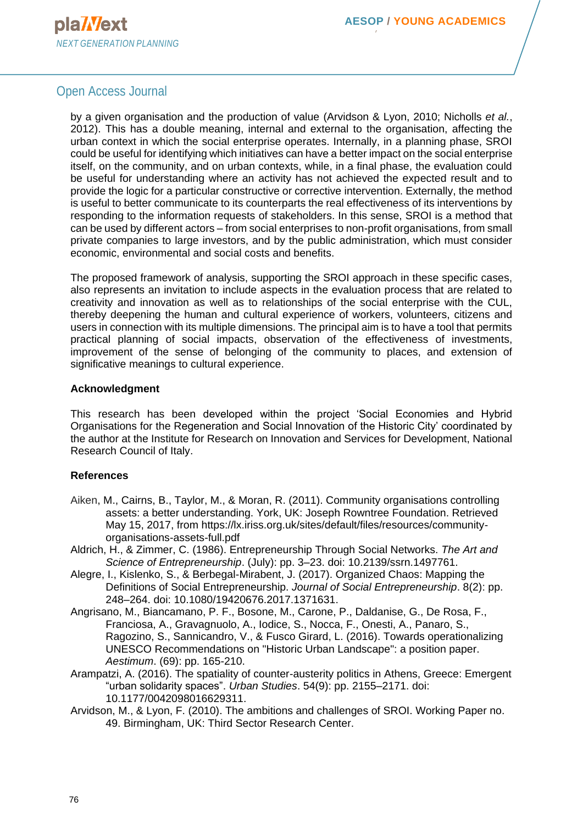### Open Access Journal

by a given organisation and the production of value (Arvidson & Lyon, 2010; Nicholls *et al.*, 2012). This has a double meaning, internal and external to the organisation, affecting the urban context in which the social enterprise operates. Internally, in a planning phase, SROI could be useful for identifying which initiatives can have a better impact on the social enterprise itself, on the community, and on urban contexts, while, in a final phase, the evaluation could be useful for understanding where an activity has not achieved the expected result and to provide the logic for a particular constructive or corrective intervention. Externally, the method is useful to better communicate to its counterparts the real effectiveness of its interventions by responding to the information requests of stakeholders. In this sense, SROI is a method that can be used by different actors – from social enterprises to non-profit organisations, from small private companies to large investors, and by the public administration, which must consider economic, environmental and social costs and benefits.

The proposed framework of analysis, supporting the SROI approach in these specific cases, also represents an invitation to include aspects in the evaluation process that are related to creativity and innovation as well as to relationships of the social enterprise with the CUL, thereby deepening the human and cultural experience of workers, volunteers, citizens and users in connection with its multiple dimensions. The principal aim is to have a tool that permits practical planning of social impacts, observation of the effectiveness of investments, improvement of the sense of belonging of the community to places, and extension of significative meanings to cultural experience.

#### **Acknowledgment**

This research has been developed within the project 'Social Economies and Hybrid Organisations for the Regeneration and Social Innovation of the Historic City' coordinated by the author at the Institute for Research on Innovation and Services for Development, National Research Council of Italy.

#### **References**

- Aiken, M., Cairns, B., Taylor, M., & Moran, R. (2011). Community organisations controlling assets: a better understanding. York, UK: Joseph Rowntree Foundation. Retrieved May 15, 2017, from https://lx.iriss.org.uk/sites/default/files/resources/communityorganisations-assets-full.pdf
- Aldrich, H., & Zimmer, C. (1986). Entrepreneurship Through Social Networks. *The Art and Science of Entrepreneurship*. (July): pp. 3–23. doi: 10.2139/ssrn.1497761.
- Alegre, I., Kislenko, S., & Berbegal-Mirabent, J. (2017). Organized Chaos: Mapping the Definitions of Social Entrepreneurship. *Journal of Social Entrepreneurship*. 8(2): pp. 248–264. doi: 10.1080/19420676.2017.1371631.
- Angrisano, M., Biancamano, P. F., Bosone, M., Carone, P., Daldanise, G., De Rosa, F., Franciosa, A., Gravagnuolo, A., Iodice, S., Nocca, F., Onesti, A., Panaro, S., Ragozino, S., Sannicandro, V., & Fusco Girard, L. (2016). Towards operationalizing UNESCO Recommendations on "Historic Urban Landscape": a position paper. *Aestimum*. (69): pp. 165-210.
- Arampatzi, A. (2016). The spatiality of counter-austerity politics in Athens, Greece: Emergent "urban solidarity spaces". *Urban Studies*. 54(9): pp. 2155–2171. doi: 10.1177/0042098016629311.
- Arvidson, M., & Lyon, F. (2010). The ambitions and challenges of SROI. Working Paper no. 49. Birmingham, UK: Third Sector Research Center.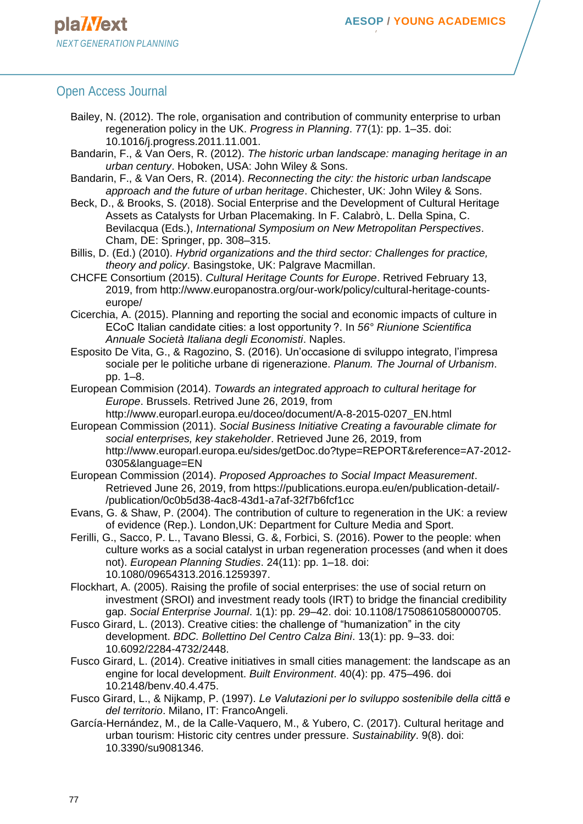#### Open Access Journal

- Bailey, N. (2012). The role, organisation and contribution of community enterprise to urban regeneration policy in the UK. *Progress in Planning*. 77(1): pp. 1–35. doi: 10.1016/j.progress.2011.11.001.
- Bandarin, F., & Van Oers, R. (2012). *The historic urban landscape: managing heritage in an urban century*. Hoboken, USA: John Wiley & Sons.
- Bandarin, F., & Van Oers, R. (2014). *Reconnecting the city: the historic urban landscape approach and the future of urban heritage*. Chichester, UK: John Wiley & Sons.
- Beck, D., & Brooks, S. (2018). Social Enterprise and the Development of Cultural Heritage Assets as Catalysts for Urban Placemaking. In F. Calabrò, L. Della Spina, C. Bevilacqua (Eds.), *International Symposium on New Metropolitan Perspectives*. Cham, DE: Springer, pp. 308–315.

Billis, D. (Ed.) (2010). *Hybrid organizations and the third sector: Challenges for practice, theory and policy*. Basingstoke, UK: Palgrave Macmillan.

- CHCFE Consortium (2015). *Cultural Heritage Counts for Europe*. Retrived February 13, 2019, from http://www.europanostra.org/our-work/policy/cultural-heritage-countseurope/
- Cicerchia, A. (2015). Planning and reporting the social and economic impacts of culture in ECoC Italian candidate cities: a lost opportunity ?. In *56° Riunione Scientifica Annuale Società Italiana degli Economisti*. Naples.
- Esposito De Vita, G., & Ragozino, S. (2016). Un'occasione di sviluppo integrato, l'impresa sociale per le politiche urbane di rigenerazione. *Planum. The Journal of Urbanism*. pp. 1–8.
- European Commision (2014). *Towards an integrated approach to cultural heritage for Europe*. Brussels. Retrived June 26, 2019, from
- http://www.europarl.europa.eu/doceo/document/A-8-2015-0207\_EN.html European Commission (2011). *Social Business Initiative Creating a favourable climate for social enterprises, key stakeholder*. Retrieved June 26, 2019, from http://www.europarl.europa.eu/sides/getDoc.do?type=REPORT&reference=A7-2012- 0305&language=EN
- European Commission (2014). *Proposed Approaches to Social Impact Measurement*. Retrieved June 26, 2019, from https://publications.europa.eu/en/publication-detail/- /publication/0c0b5d38-4ac8-43d1-a7af-32f7b6fcf1cc
- Evans, G. & Shaw, P. (2004). The contribution of culture to regeneration in the UK: a review of evidence (Rep.). London,UK: Department for Culture Media and Sport.
- Ferilli, G., Sacco, P. L., Tavano Blessi, G. &, Forbici, S. (2016). Power to the people: when culture works as a social catalyst in urban regeneration processes (and when it does not). *European Planning Studies*. 24(11): pp. 1–18. doi: 10.1080/09654313.2016.1259397.
- Flockhart, A. (2005). Raising the profile of social enterprises: the use of social return on investment (SROI) and investment ready tools (IRT) to bridge the financial credibility gap. *Social Enterprise Journal*. 1(1): pp. 29–42. doi: 10.1108/17508610580000705.
- Fusco Girard, L. (2013). Creative cities: the challenge of "humanization" in the city development. *BDC. Bollettino Del Centro Calza Bini*. 13(1): pp. 9–33. doi: 10.6092/2284-4732/2448.
- Fusco Girard, L. (2014). Creative initiatives in small cities management: the landscape as an engine for local development. *Built Environment*. 40(4): pp. 475–496. doi 10.2148/benv.40.4.475.
- Fusco Girard, L., & Nijkamp, P. (1997). *Le Valutazioni per lo sviluppo sostenibile della cittā e del territorio*. Milano, IT: FrancoAngeli.
- García-Hernández, M., de la Calle-Vaquero, M., & Yubero, C. (2017). Cultural heritage and urban tourism: Historic city centres under pressure. *Sustainability*. 9(8). doi: 10.3390/su9081346.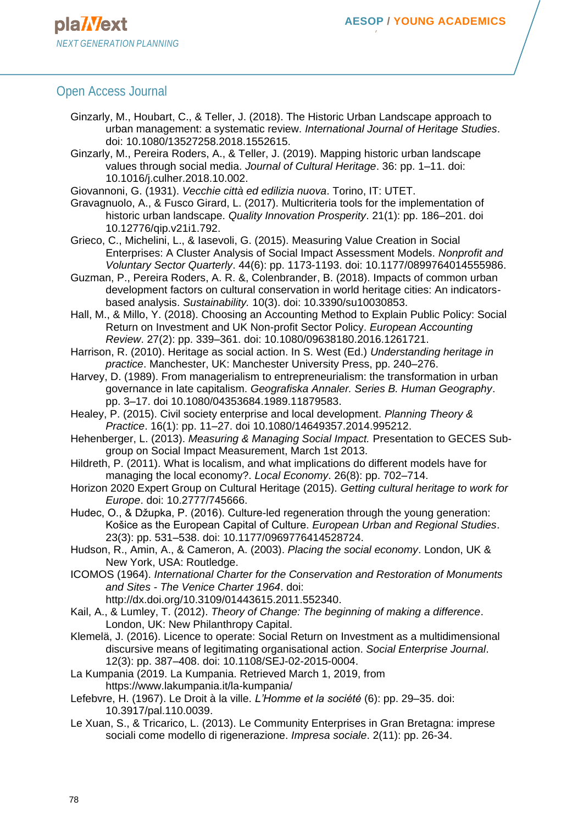- Ginzarly, M., Houbart, C., & Teller, J. (2018). The Historic Urban Landscape approach to urban management: a systematic review. *International Journal of Heritage Studies*. doi: 10.1080/13527258.2018.1552615.
- Ginzarly, M., Pereira Roders, A., & Teller, J. (2019). Mapping historic urban landscape values through social media. *Journal of Cultural Heritage*. 36: pp. 1–11. doi: 10.1016/j.culher.2018.10.002.
- Giovannoni, G. (1931). *Vecchie città ed edilizia nuova*. Torino, IT: UTET.
- Gravagnuolo, A., & Fusco Girard, L. (2017). Multicriteria tools for the implementation of historic urban landscape. *Quality Innovation Prosperity*. 21(1): pp. 186–201. doi 10.12776/qip.v21i1.792.
- Grieco, C., Michelini, L., & Iasevoli, G. (2015). Measuring Value Creation in Social Enterprises: A Cluster Analysis of Social Impact Assessment Models. *Nonprofit and Voluntary Sector Quarterly*. 44(6): pp. 1173-1193. doi: 10.1177/0899764014555986.
- Guzman, P., Pereira Roders, A. R. &, Colenbrander, B. (2018). Impacts of common urban development factors on cultural conservation in world heritage cities: An indicatorsbased analysis. *Sustainability.* 10(3). doi: 10.3390/su10030853.
- Hall, M., & Millo, Y. (2018). Choosing an Accounting Method to Explain Public Policy: Social Return on Investment and UK Non-profit Sector Policy. *European Accounting Review*. 27(2): pp. 339–361. doi: 10.1080/09638180.2016.1261721.
- Harrison, R. (2010). Heritage as social action. In S. West (Ed.) *Understanding heritage in practice*. Manchester, UK: Manchester University Press, pp. 240–276.
- Harvey, D. (1989). From managerialism to entrepreneurialism: the transformation in urban governance in late capitalism. *Geografiska Annaler. Series B. Human Geography*. pp. 3–17. doi 10.1080/04353684.1989.11879583.
- Healey, P. (2015). Civil society enterprise and local development. *Planning Theory & Practice*. 16(1): pp. 11–27. doi 10.1080/14649357.2014.995212.
- Hehenberger, L. (2013). *Measuring & Managing Social Impact.* Presentation to GECES Subgroup on Social Impact Measurement, March 1st 2013.
- Hildreth, P. (2011). What is localism, and what implications do different models have for managing the local economy?. *Local Economy*. 26(8): pp. 702–714.
- Horizon 2020 Expert Group on Cultural Heritage (2015). *Getting cultural heritage to work for Europe*. doi: 10.2777/745666.
- Hudec, O., & Džupka, P. (2016). Culture-led regeneration through the young generation: Košice as the European Capital of Culture. *European Urban and Regional Studies*. 23(3): pp. 531–538. doi: 10.1177/0969776414528724.
- Hudson, R., Amin, A., & Cameron, A. (2003). *Placing the social economy*. London, UK & New York, USA: Routledge.
- ICOMOS (1964). *International Charter for the Conservation and Restoration of Monuments and Sites - The Venice Charter 1964*. doi:
	- http://dx.doi.org/10.3109/01443615.2011.552340.
- Kail, A., & Lumley, T. (2012). *Theory of Change: The beginning of making a difference*. London, UK: New Philanthropy Capital.
- Klemelä, J. (2016). Licence to operate: Social Return on Investment as a multidimensional discursive means of legitimating organisational action. *Social Enterprise Journal*. 12(3): pp. 387–408. doi: 10.1108/SEJ-02-2015-0004.
- La Kumpania (2019. La Kumpania. Retrieved March 1, 2019, from https://www.lakumpania.it/la-kumpania/
- Lefebvre, H. (1967). Le Droit à la ville. *L'Homme et la société* (6): pp. 29–35. doi: 10.3917/pal.110.0039.
- Le Xuan, S., & Tricarico, L. (2013). Le Community Enterprises in Gran Bretagna: imprese sociali come modello di rigenerazione. *Impresa sociale*. 2(11): pp. 26-34.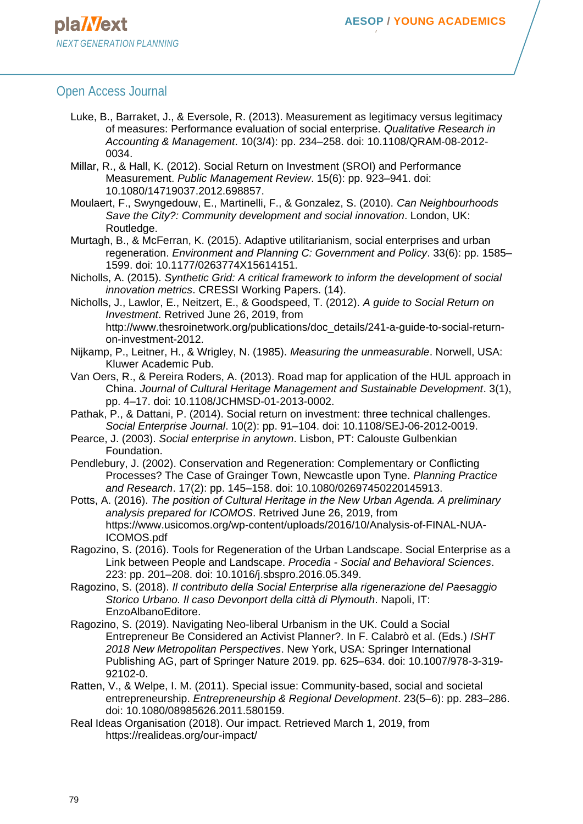- Luke, B., Barraket, J., & Eversole, R. (2013). Measurement as legitimacy versus legitimacy of measures: Performance evaluation of social enterprise. *Qualitative Research in Accounting & Management*. 10(3/4): pp. 234–258. doi: 10.1108/QRAM-08-2012- 0034.
- Millar, R., & Hall, K. (2012). Social Return on Investment (SROI) and Performance Measurement. *Public Management Review*. 15(6): pp. 923–941. doi: 10.1080/14719037.2012.698857.
- Moulaert, F., Swyngedouw, E., Martinelli, F., & Gonzalez, S. (2010). *Can Neighbourhoods Save the City?: Community development and social innovation*. London, UK: Routledge.
- Murtagh, B., & McFerran, K. (2015). Adaptive utilitarianism, social enterprises and urban regeneration. *Environment and Planning C: Government and Policy*. 33(6): pp. 1585– 1599. doi: 10.1177/0263774X15614151.
- Nicholls, A. (2015). *Synthetic Grid: A critical framework to inform the development of social innovation metrics*. CRESSI Working Papers. (14).
- Nicholls, J., Lawlor, E., Neitzert, E., & Goodspeed, T. (2012). *A guide to Social Return on Investment*. Retrived June 26, 2019, from http://www.thesroinetwork.org/publications/doc\_details/241-a-guide-to-social-returnon-investment-2012.
- Nijkamp, P., Leitner, H., & Wrigley, N. (1985). *Measuring the unmeasurable*. Norwell, USA: Kluwer Academic Pub.
- Van Oers, R., & Pereira Roders, A. (2013). Road map for application of the HUL approach in China. *Journal of Cultural Heritage Management and Sustainable Development*. 3(1), pp. 4–17. doi: 10.1108/JCHMSD-01-2013-0002.
- Pathak, P., & Dattani, P. (2014). Social return on investment: three technical challenges. *Social Enterprise Journal*. 10(2): pp. 91–104. doi: 10.1108/SEJ-06-2012-0019.
- Pearce, J. (2003). *Social enterprise in anytown*. Lisbon, PT: Calouste Gulbenkian Foundation.
- Pendlebury, J. (2002). Conservation and Regeneration: Complementary or Conflicting Processes? The Case of Grainger Town, Newcastle upon Tyne. *Planning Practice and Research*. 17(2): pp. 145–158. doi: 10.1080/02697450220145913.
- Potts, A. (2016). *The position of Cultural Heritage in the New Urban Agenda. A preliminary analysis prepared for ICOMOS*. Retrived June 26, 2019, from https://www.usicomos.org/wp-content/uploads/2016/10/Analysis-of-FINAL-NUA-ICOMOS.pdf
- Ragozino, S. (2016). Tools for Regeneration of the Urban Landscape. Social Enterprise as a Link between People and Landscape. *Procedia - Social and Behavioral Sciences*. 223: pp. 201–208. doi: 10.1016/j.sbspro.2016.05.349.
- Ragozino, S. (2018). *Il contributo della Social Enterprise alla rigenerazione del Paesaggio Storico Urbano. Il caso Devonport della città di Plymouth*. Napoli, IT: EnzoAlbanoEditore.
- Ragozino, S. (2019). Navigating Neo-liberal Urbanism in the UK. Could a Social Entrepreneur Be Considered an Activist Planner?. In F. Calabrò et al. (Eds.) *ISHT 2018 New Metropolitan Perspectives*. New York, USA: Springer International Publishing AG, part of Springer Nature 2019. pp. 625–634. doi: 10.1007/978-3-319- 92102-0.
- Ratten, V., & Welpe, I. M. (2011). Special issue: Community-based, social and societal entrepreneurship. *Entrepreneurship & Regional Development*. 23(5–6): pp. 283–286. doi: 10.1080/08985626.2011.580159.
- Real Ideas Organisation (2018). Our impact. Retrieved March 1, 2019, from https://realideas.org/our-impact/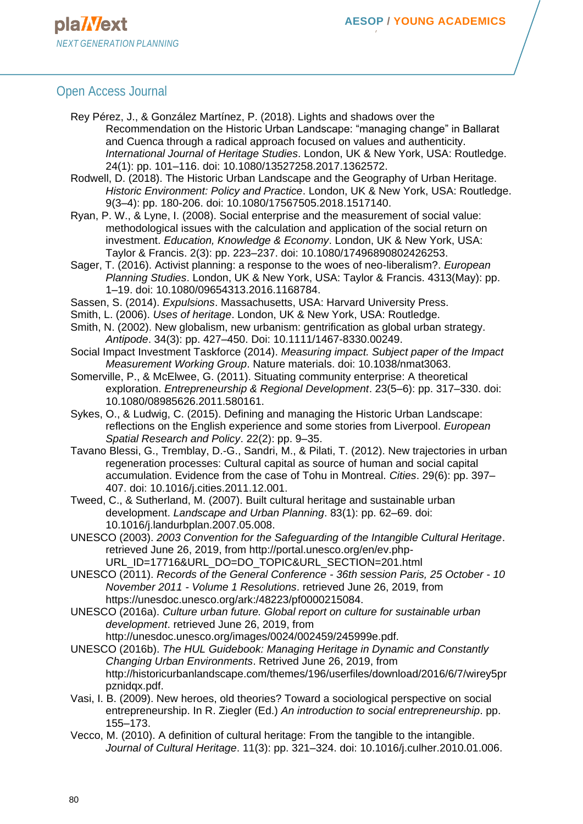#### Open Access Journal

Rey Pérez, J., & González Martínez, P. (2018). Lights and shadows over the Recommendation on the Historic Urban Landscape: "managing change" in Ballarat and Cuenca through a radical approach focused on values and authenticity. *International Journal of Heritage Studies*. London, UK & New York, USA: Routledge. 24(1): pp. 101–116. doi: 10.1080/13527258.2017.1362572.

Rodwell, D. (2018). The Historic Urban Landscape and the Geography of Urban Heritage. *Historic Environment: Policy and Practice*. London, UK & New York, USA: Routledge. 9(3–4): pp. 180-206. doi: 10.1080/17567505.2018.1517140.

Ryan, P. W., & Lyne, I. (2008). Social enterprise and the measurement of social value: methodological issues with the calculation and application of the social return on investment. *Education, Knowledge & Economy*. London, UK & New York, USA: Taylor & Francis. 2(3): pp. 223–237. doi: 10.1080/17496890802426253.

Sager, T. (2016). Activist planning: a response to the woes of neo-liberalism?. *European Planning Studies*. London, UK & New York, USA: Taylor & Francis. 4313(May): pp. 1–19. doi: 10.1080/09654313.2016.1168784.

Sassen, S. (2014). *Expulsions*. Massachusetts, USA: Harvard University Press.

Smith, L. (2006). *Uses of heritage*. London, UK & New York, USA: Routledge.

- Smith, N. (2002). New globalism, new urbanism: gentrification as global urban strategy. *Antipode*. 34(3): pp. 427–450. Doi: 10.1111/1467-8330.00249.
- Social Impact Investment Taskforce (2014). *Measuring impact. Subject paper of the Impact Measurement Working Group*. Nature materials. doi: 10.1038/nmat3063.
- Somerville, P., & McElwee, G. (2011). Situating community enterprise: A theoretical exploration. *Entrepreneurship & Regional Development*. 23(5–6): pp. 317–330. doi: 10.1080/08985626.2011.580161.
- Sykes, O., & Ludwig, C. (2015). Defining and managing the Historic Urban Landscape: reflections on the English experience and some stories from Liverpool. *European Spatial Research and Policy*. 22(2): pp. 9–35.
- Tavano Blessi, G., Tremblay, D.-G., Sandri, M., & Pilati, T. (2012). New trajectories in urban regeneration processes: Cultural capital as source of human and social capital accumulation. Evidence from the case of Tohu in Montreal. *Cities*. 29(6): pp. 397– 407. doi: 10.1016/j.cities.2011.12.001.

Tweed, C., & Sutherland, M. (2007). Built cultural heritage and sustainable urban development. *Landscape and Urban Planning*. 83(1): pp. 62–69. doi: 10.1016/j.landurbplan.2007.05.008.

UNESCO (2003). *2003 Convention for the Safeguarding of the Intangible Cultural Heritage*. retrieved June 26, 2019, from http://portal.unesco.org/en/ev.php-URL\_ID=17716&URL\_DO=DO\_TOPIC&URL\_SECTION=201.html

UNESCO (2011). *Records of the General Conference - 36th session Paris, 25 October - 10 November 2011 - Volume 1 Resolutions*. retrieved June 26, 2019, from https://unesdoc.unesco.org/ark:/48223/pf0000215084.

UNESCO (2016a). *Culture urban future. Global report on culture for sustainable urban development*. retrieved June 26, 2019, from http://unesdoc.unesco.org/images/0024/002459/245999e.pdf.

UNESCO (2016b). *The HUL Guidebook: Managing Heritage in Dynamic and Constantly Changing Urban Environments*. Retrived June 26, 2019, from http://historicurbanlandscape.com/themes/196/userfiles/download/2016/6/7/wirey5pr pznidqx.pdf.

- Vasi, I. B. (2009). New heroes, old theories? Toward a sociological perspective on social entrepreneurship. In R. Ziegler (Ed.) *An introduction to social entrepreneurship*. pp. 155–173.
- Vecco, M. (2010). A definition of cultural heritage: From the tangible to the intangible. *Journal of Cultural Heritage*. 11(3): pp. 321–324. doi: 10.1016/j.culher.2010.01.006.